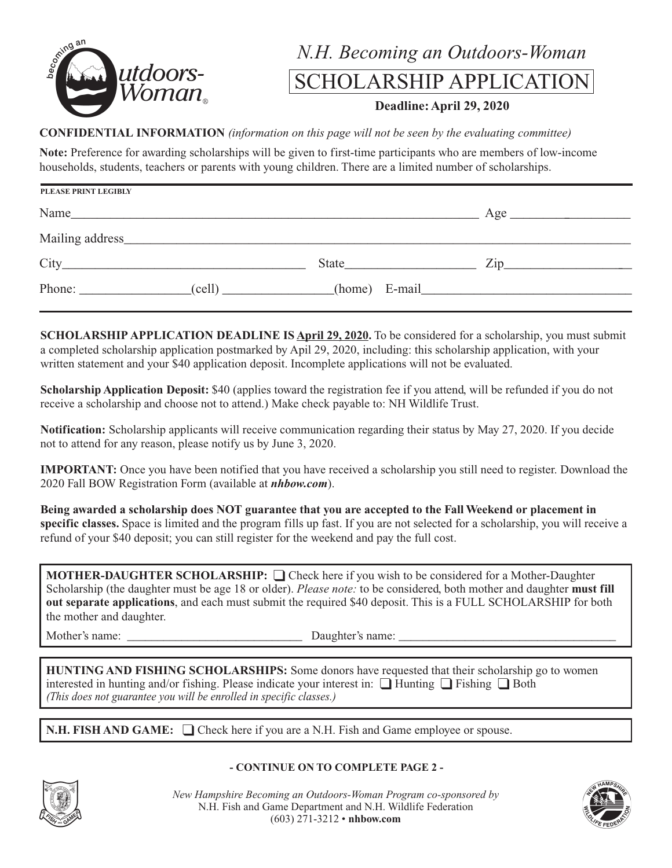

## *N.H. Becoming an Outdoors-Woman*

## SCHOLARSHIP APPLICATION

#### **Deadline: April 29, 2020**

#### **CONFIDENTIAL INFORMATION** *(information on this page will not be seen by the evaluating committee)*

**Note:** Preference for awarding scholarships will be given to first-time participants who are members of low-income households, students, teachers or parents with young children. There are a limited number of scholarships.

| <b>PLEASE PRINT LEGIBLY</b>                                                                                                                                                                                                    |                                                                                                                                                                                                                               |                  |
|--------------------------------------------------------------------------------------------------------------------------------------------------------------------------------------------------------------------------------|-------------------------------------------------------------------------------------------------------------------------------------------------------------------------------------------------------------------------------|------------------|
|                                                                                                                                                                                                                                |                                                                                                                                                                                                                               | Age              |
| Mailing address Mailing and the South Community of the Mailing and the South Community of the South Community of the South Community of the South Community of the South Community of the South Community of the South Communi |                                                                                                                                                                                                                               |                  |
|                                                                                                                                                                                                                                | State and the state of the state of the state of the state of the state of the state of the state of the state of the state of the state of the state of the state of the state of the state of the state of the state of the | $\mathsf{Zip}\_$ |
| Phone: (cell) (cell) (home) E-mail                                                                                                                                                                                             |                                                                                                                                                                                                                               |                  |

**SCHOLARSHIP APPLICATION DEADLINE IS April 29, 2020.** To be considered for a scholarship, you must submit a completed scholarship application postmarked by Apil 29, 2020, including: this scholarship application, with your written statement and your \$40 application deposit. Incomplete applications will not be evaluated.

**Scholarship Application Deposit:** \$40 (applies toward the registration fee if you attend, will be refunded if you do not receive a scholarship and choose not to attend.) Make check payable to: NH Wildlife Trust.

**Notification:** Scholarship applicants will receive communication regarding their status by May 27, 2020. If you decide not to attend for any reason, please notify us by June 3, 2020.

**IMPORTANT:** Once you have been notified that you have received a scholarship you still need to register. Download the 2020 Fall BOW Registration Form (available at *nhbow.com*).

**Being awarded a scholarship does NOT guarantee that you are accepted to the Fall Weekend or placement in specific classes.** Space is limited and the program fills up fast. If you are not selected for a scholarship, you will receive a refund of your \$40 deposit; you can still register for the weekend and pay the full cost.

**MOTHER-DAUGHTER SCHOLARSHIP:**  $\Box$  Check here if you wish to be considered for a Mother-Daughter Scholarship (the daughter must be age 18 or older). *Please note:* to be considered, both mother and daughter **must fill out separate applications**, and each must submit the required \$40 deposit. This is a FULL SCHOLARSHIP for both the mother and daughter.

Mother's name: \_\_\_\_\_\_\_\_\_\_\_\_\_\_\_\_\_\_\_\_\_\_\_\_\_\_\_\_\_ Daughter's name: \_\_\_\_\_\_\_\_\_\_\_\_\_\_\_\_\_\_\_\_\_\_\_\_\_\_\_\_\_\_\_\_\_\_\_\_

**HUNTING AND FISHING SCHOLARSHIPS:** Some donors have requested that their scholarship go to women interested in hunting and/or fishing. Please indicate your interest in:  $\Box$  Hunting  $\Box$  Fishing  $\Box$  Both *(This does not guarantee you will be enrolled in specific classes.)*

**N.H. FISH AND GAME:**  $\Box$  Check here if you are a N.H. Fish and Game employee or spouse.



**- CONTINUE ON TO COMPLETE PAGE 2 -**

*New Hampshire Becoming an Outdoors-Woman Program co-sponsored by* N.H. Fish and Game Department and N.H. Wildlife Federation (603) 271-3212 • **nhbow.com**